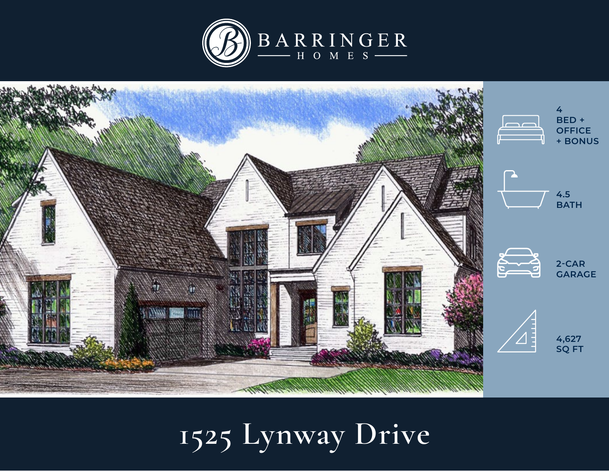



# **1525 Lynway Drive**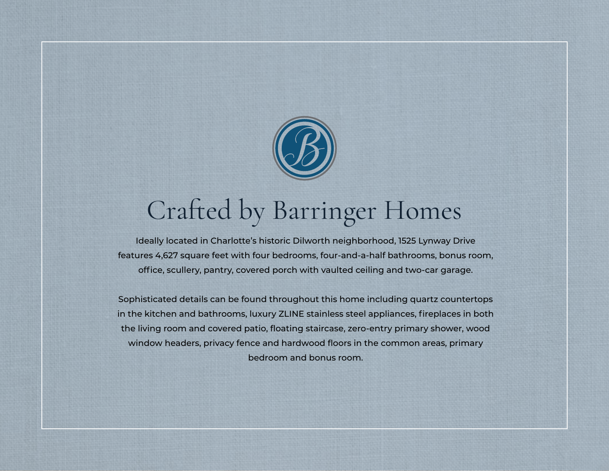

## Crafted by Barringer Homes

Ideally located in Charlotte's historic Dilworth neighborhood, 1525 Lynway Drive features 4,627 square feet with four bedrooms, four-and-a-half bathrooms, bonus room, office, scullery, pantry, covered porch with vaulted ceiling and two-car garage.

Sophisticated details can be found throughout this home including quartz countertops in the kitchen and bathrooms, luxury ZLINE stainless steel appliances, fireplaces in both the living room and covered patio, floating staircase, zero-entry primary shower, wood window headers, privacy fence and hardwood floors in the common areas, primary bedroom and bonus room.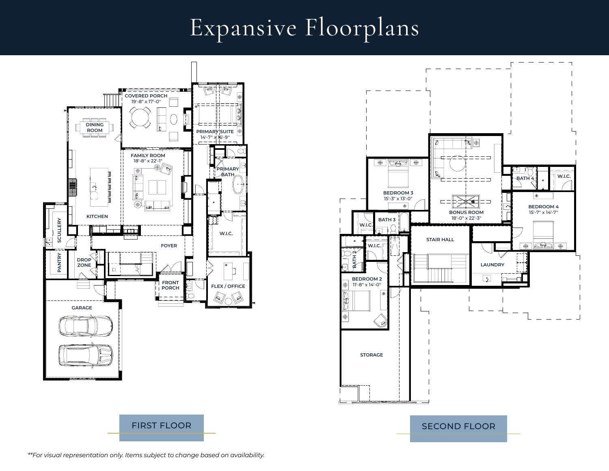## Expansive Floorplans





*\*\*For visual representation only. Items subject to change based on availability.*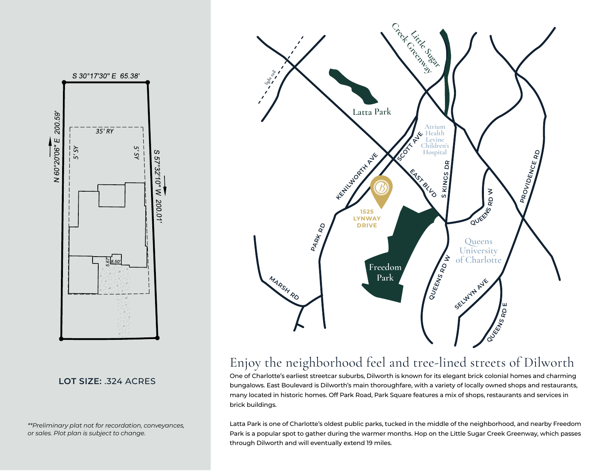

#### **LOT SIZE:** .324 ACRES

*\*\*Preliminary plat not for recordation, conveyances, or sales. Plot plan is subject to change.*



### Enjoy the neighborhood feel and tree-lined streets of Dilworth

One of Charlotte's earliest streetcar suburbs, Dilworth is known for its elegant brick colonial homes and charming bungalows. East Boulevard is Dilworth's main thoroughfare, with a variety of locally owned shops and restaurants, many located in historic homes. Off Park Road, Park Square features a mix of shops, restaurants and services in brick buildings.

Latta Park is one of Charlotte's oldest public parks, tucked in the middle of the neighborhood, and nearby Freedom Park is a popular spot to gather during the warmer months. Hop on the Little Sugar Creek Greenway, which passes through Dilworth and will eventually extend 19 miles.